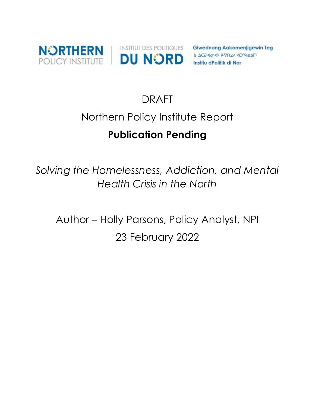

**Giwednong Aakomenjigewin Teg** AC2-40-41 P-VO-4 40-9-45 Institu dPolitik di Nor

# DRAFT

# Northern Policy Institute Report

# **Publication Pending**

*Solving the Homelessness, Addiction, and Mental Health Crisis in the North* 

Author – Holly Parsons, Policy Analyst, NPI 23 February 2022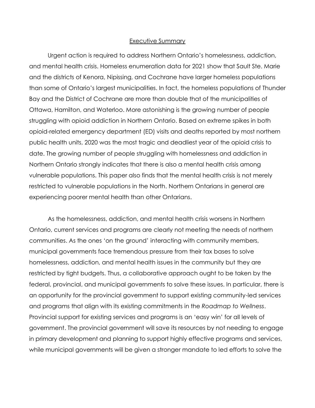#### Executive Summary

Urgent action is required to address Northern Ontario's homelessness, addiction, and mental health crisis. Homeless enumeration data for 2021 show that Sault Ste. Marie and the districts of Kenora, Nipissing, and Cochrane have larger homeless populations than some of Ontario's largest municipalities. In fact, the homeless populations of Thunder Bay and the District of Cochrane are more than double that of the municipalities of Ottawa, Hamilton, and Waterloo. More astonishing is the growing number of people struggling with opioid addiction in Northern Ontario. Based on extreme spikes in both opioid-related emergency department (ED) visits and deaths reported by most northern public health units, 2020 was the most tragic and deadliest year of the opioid crisis to date. The growing number of people struggling with homelessness and addiction in Northern Ontario strongly indicates that there is also a mental health crisis among vulnerable populations. This paper also finds that the mental health crisis is not merely restricted to vulnerable populations in the North. Northern Ontarians in general are experiencing poorer mental health than other Ontarians.

As the homelessness, addiction, and mental health crisis worsens in Northern Ontario, current services and programs are clearly not meeting the needs of northern communities. As the ones 'on the ground' interacting with community members, municipal governments face tremendous pressure from their tax bases to solve homelessness, addiction, and mental health issues in the community but they are restricted by tight budgets. Thus, a collaborative approach ought to be taken by the federal, provincial, and municipal governments to solve these issues. In particular, there is an opportunity for the provincial government to support existing community-led services and programs that align with its existing commitments in the *Roadmap to Wellness*. Provincial support for existing services and programs is an 'easy win' for all levels of government. The provincial government will save its resources by not needing to engage in primary development and planning to support highly effective programs and services, while municipal governments will be given a stronger mandate to led efforts to solve the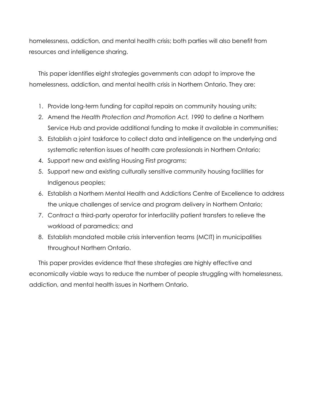homelessness, addiction, and mental health crisis; both parties will also benefit from resources and intelligence sharing.

This paper identifies eight strategies governments can adopt to improve the homelessness, addiction, and mental health crisis in Northern Ontario. They are:

- 1. Provide long-term funding for capital repairs on community housing units;
- 2. Amend the *Health Protection and Promotion Act, 1990* to define a Northern Service Hub and provide additional funding to make it available in communities;
- 3. Establish a joint taskforce to collect data and intelligence on the underlying and systematic retention issues of health care professionals in Northern Ontario;
- 4. Support new and existing Housing First programs;
- 5. Support new and existing culturally sensitive community housing facilities for Indigenous peoples;
- 6. Establish a Northern Mental Health and Addictions Centre of Excellence to address the unique challenges of service and program delivery in Northern Ontario;
- 7. Contract a third-party operator for interfacility patient transfers to relieve the workload of paramedics; and
- 8. Establish mandated mobile crisis intervention teams (MCIT) in municipalities throughout Northern Ontario.

This paper provides evidence that these strategies are highly effective and economically viable ways to reduce the number of people struggling with homelessness, addiction, and mental health issues in Northern Ontario.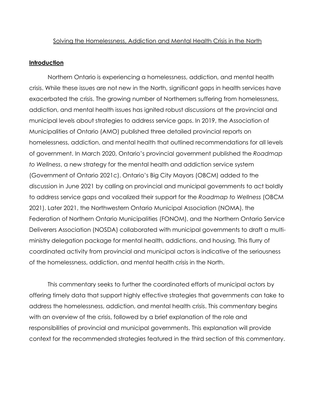#### Solving the Homelessness, Addiction and Mental Health Crisis in the North

#### **Introduction**

Northern Ontario is experiencing a homelessness, addiction, and mental health crisis. While these issues are not new in the North, significant gaps in health services have exacerbated the crisis. The growing number of Northerners suffering from homelessness, addiction, and mental health issues has ignited robust discussions at the provincial and municipal levels about strategies to address service gaps. In 2019, the Association of Municipalities of Ontario (AMO) published three detailed provincial reports on homelessness, addiction, and mental health that outlined recommendations for all levels of government. In March 2020, Ontario's provincial government published the *Roadmap to Wellness*, a new strategy for the mental health and addiction service system (Government of Ontario 2021c). Ontario's Big City Mayors (OBCM) added to the discussion in June 2021 by calling on provincial and municipal governments to act boldly to address service gaps and vocalized their support for the *Roadmap to Wellness* (OBCM 2021). Later 2021, the Northwestern Ontario Municipal Association (NOMA), the Federation of Northern Ontario Municipalities (FONOM), and the Northern Ontario Service Deliverers Association (NOSDA) collaborated with municipal governments to draft a multiministry delegation package for mental health, addictions, and housing. This flurry of coordinated activity from provincial and municipal actors is indicative of the seriousness of the homelessness, addiction, and mental health crisis in the North.

This commentary seeks to further the coordinated efforts of municipal actors by offering timely data that support highly effective strategies that governments can take to address the homelessness, addiction, and mental health crisis. This commentary begins with an overview of the crisis, followed by a brief explanation of the role and responsibilities of provincial and municipal governments. This explanation will provide context for the recommended strategies featured in the third section of this commentary.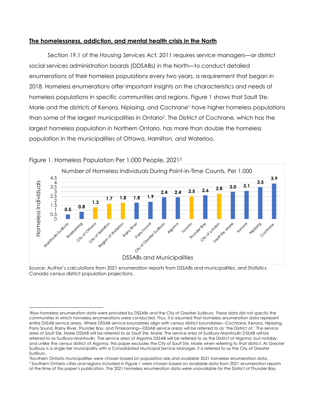## **The homelessness, addiction, and mental health crisis in the North**

Section 19.1 of the *Housing Services Act, 2011* requires service managers—or district social services administration boards (DDSABs) in the North—to conduct detailed enumerations of their homeless populations every two years, a requirement that began in 2018. Homeless enumerations offer important insights on the characteristics and needs of homeless populations in specific communities and regions. Figure 1 shows that Sault Ste. Marie and the districts of Kenora, Nipissing, and Cochrane<sup>1</sup> have higher homeless populations than some of the largest municipalities in Ontario<sup>2</sup> . The District of Cochrane, which has the largest homeless population in Northern Ontario, has more than double the homeless population in the municipalities of Ottawa, Hamilton, and Waterloo.



## Figure 1. Homeless Population Per 1,000 People, 2021<sup>3</sup>

Source: Author's calculations from 2021 enumeration reports from DSSABs and municipalities, and Statistics Canada census district population projections.

<sup>2</sup>Southern Ontario municipalities were chosen based on population size and available 2021 homeless enumeration data. <sup>3</sup> Southern Ontario cities and regions included in Figure 1 were chosen based on available data from 2021 enumeration reports at the time of this paper's publication. The 2021 homeless enumeration data were unavailable for the District of Thunder Bay.

<sup>1</sup>Raw homeless enumeration data were provided by DSSABs and the City of Greater Sudbury. These data did not specify the communities in which homeless enumerations were conducted. Thus, it is assumed that homeless enumeration data represent entire DSSAB service areas. Where DSSAB service boundaries align with census district boundaries—Cochrane, Kenora, Nipissing, Parry Sound, Rainy River, Thunder Bay, and Timiskaming—DSSAB service areas will be referred to as 'the District of.' The service area of Sault Ste. Marie DSSAB will be referred to as Sault Ste. Marie. The service area of Sudbury-Manitoulin DSSAB will be referred to as Sudbury-Manitoulin. The service area of Algoma DSSAB will be referred to as the District of Algoma, but notably, and unlike the census district of Algoma, this paper excludes the City of Sault Ste. Marie when referring to that district. As Greater Sudbury is a single-tier municipality with a Consolidated Municipal Service Manager, it is referred to as the City of Greater Sudbury.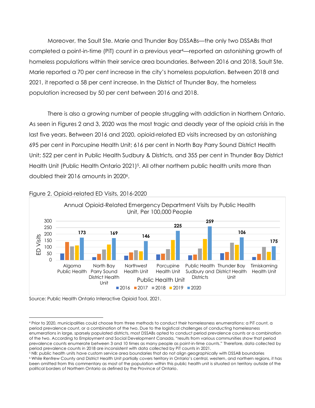Moreover, the Sault Ste. Marie and Thunder Bay DSSABs—the only two DSSABs that completed a point-in-time (PiT) count in a previous year4—reported an astonishing growth of homeless populations within their service area boundaries. Between 2016 and 2018, Sault Ste. Marie reported a 70 per cent increase in the city's homeless population. Between 2018 and 2021, it reported a 58 per cent increase. In the District of Thunder Bay, the homeless population increased by 50 per cent between 2016 and 2018.

There is also a growing number of people struggling with addiction in Northern Ontario. As seen in Figures 2 and 3, 2020 was the most tragic and deadly year of the opioid crisis in the last five years. Between 2016 and 2020, opioid-related ED visits increased by an astonishing 695 per cent in Porcupine Health Unit; 616 per cent in North Bay Parry Sound District Health Unit; 522 per cent in Public Health Sudbury & Districts, and 355 per cent in Thunder Bay District Health Unit (Public Health Ontario 2021)<sup>5</sup>. All other northern public health units more than doubled their 2016 amounts in 2020<sup>6</sup>.



#### Figure 2. Opioid-related ED Visits, 2016-2020

Source: Public Health Ontario Interactive Opioid Tool, 2021.

<sup>4</sup> Prior to 2020, municipalities could choose from three methods to conduct their homelessness enumerations: a PiT count, a period prevalence count, or a combination of the two. Due to the logistical challenges of conducting homelessness enumerations in large, sparsely populated districts, most DSSABs opted to conduct period prevalence counts or a combination of the two. According to Employment and Social Development Canada, "results from various communities show that period prevalence counts enumerate between 3 and 10 times as many people as point-in-time counts." Therefore, data collected by period prevalence counts in 2018 are inconsistent with data collected by PiT counts in 2021.

<sup>5</sup> NB: public health units have custom service area boundaries that do not align geographically with DSSAB boundaries <sup>6</sup> While Renfrew County and District Health Unit partially covers territory in Ontario's central, western, and northern regions, it has been omitted from this commentary as most of the population within this public health unit is situated on territory outside of the political borders of Northern Ontario as defined by the Province of Ontario.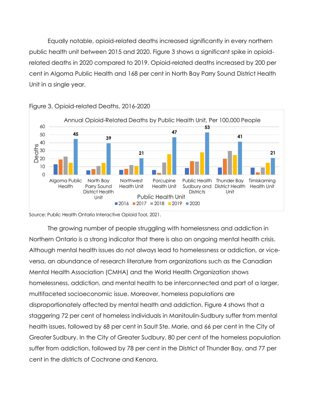Equally notable, opioid-related deaths increased significantly in every northern public health unit between 2015 and 2020. Figure 3 shows a significant spike in opioidrelated deaths in 2020 compared to 2019. Opioid-related deaths increased by 200 per cent in Algoma Public Health and 168 per cent in North Bay Parry Sound District Health Unit in a single year.



## Figure 3. Opioid-related Deaths, 2016-2020

Source: Public Health Ontario Interactive Opioid Tool, 2021.

The growing number of people struggling with homelessness and addiction in Northern Ontario is a strong indicator that there is also an ongoing mental health crisis. Although mental health issues do not always lead to homelessness or addiction, or viceversa, an abundance of research literature from organizations such as the Canadian Mental Health Association (CMHA) and the World Health Organization shows homelessness, addiction, and mental health to be interconnected and part of a larger, multifaceted socioeconomic issue. Moreover, homeless populations are disproportionately affected by mental health and addiction. Figure 4 shows that a staggering 72 per cent of homeless individuals in Manitoulin-Sudbury suffer from mental health issues, followed by 68 per cent in Sault Ste. Marie, and 66 per cent in the City of Greater Sudbury. In the City of Greater Sudbury, 80 per cent of the homeless population suffer from addiction, followed by 78 per cent in the District of Thunder Bay, and 77 per cent in the districts of Cochrane and Kenora.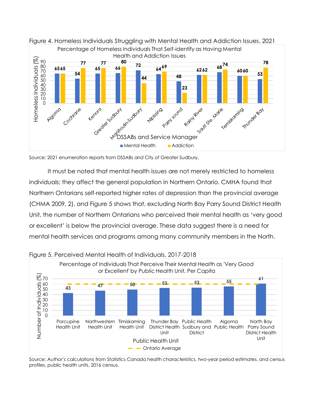

Figure 4. Homeless Individuals Struggling with Mental Health and Addiction Issues, 2021

It must be noted that mental health issues are not merely restricted to homeless individuals; they affect the general population in Northern Ontario. CMHA found that Northern Ontarians self-reported higher rates of depression than the provincial average (CHMA 2009, 2), and Figure 5 shows that, excluding North Bay Parry Sound District Health Unit, the number of Northern Ontarians who perceived their mental health as 'very good or excellent' is below the provincial average. These data suggest there is a need for mental health services and programs among many community members in the North.



Figure 5. Perceived Mental Health of Individuals, 2017-2018

Source: Author's calculations from Statistics Canada health characteristics, two-year period estimates, and census profiles, public health units, 2016 census.

Source: 2021 enumeration reports from DSSABs and City of Greater Sudbury.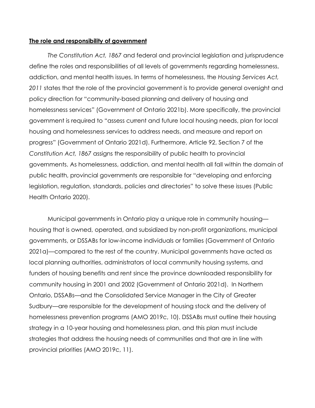### **The role and responsibility of government**

*The Constitution Act, 1867* and federal and provincial legislation and jurisprudence define the roles and responsibilities of all levels of governments regarding homelessness, addiction, and mental health issues. In terms of homelessness, the *Housing Services Act, 2011* states that the role of the provincial government is to provide general oversight and policy direction for "community-based planning and delivery of housing and homelessness services" (Government of Ontario 2021b). More specifically, the provincial government is required to "assess current and future local housing needs, plan for local housing and homelessness services to address needs, and measure and report on progress" (Government of Ontario 2021d). Furthermore, Article 92, Section 7 of the *Constitution Act, 1867* assigns the responsibility of public health to provincial governments. As homelessness, addiction, and mental health all fall within the domain of public health, provincial governments are responsible for "developing and enforcing legislation, regulation, standards, policies and directories" to solve these issues (Public Health Ontario 2020).

Municipal governments in Ontario play a unique role in community housing housing that is owned, operated, and subsidized by non-profit organizations, municipal governments, or DSSABs for low-income individuals or families (Government of Ontario 2021a)—compared to the rest of the country. Municipal governments have acted as local planning authorities, administrators of local community housing systems, and funders of housing benefits and rent since the province downloaded responsibility for community housing in 2001 and 2002 (Government of Ontario 2021d). In Northern Ontario, DSSABs—and the Consolidated Service Manager in the City of Greater Sudbury—are responsible for the development of housing stock and the delivery of homelessness prevention programs (AMO 2019c, 10). DSSABs must outline their housing strategy in a 10-year housing and homelessness plan, and this plan must include strategies that address the housing needs of communities and that are in line with provincial priorities (AMO 2019c, 11).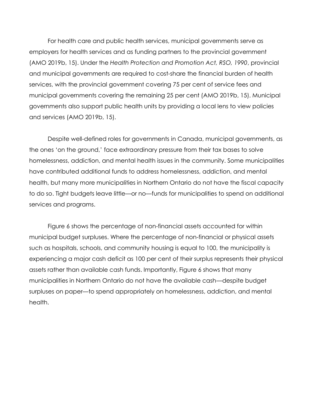For health care and public health services, municipal governments serve as employers for health services and as funding partners to the provincial government (AMO 2019b, 15). Under the *Health Protection and Promotion Act, RSO, 1990*, provincial and municipal governments are required to cost-share the financial burden of health services, with the provincial government covering 75 per cent of service fees and municipal governments covering the remaining 25 per cent (AMO 2019b, 15). Municipal governments also support public health units by providing a local lens to view policies and services (AMO 2019b, 15).

Despite well-defined roles for governments in Canada, municipal governments, as the ones 'on the ground,' face extraordinary pressure from their tax bases to solve homelessness, addiction, and mental health issues in the community. Some municipalities have contributed additional funds to address homelessness, addiction, and mental health, but many more municipalities in Northern Ontario do not have the fiscal capacity to do so. Tight budgets leave little—or no—funds for municipalities to spend on additional services and programs.

Figure 6 shows the percentage of non-financial assets accounted for within municipal budget surpluses. Where the percentage of non-financial or physical assets such as hospitals, schools, and community housing is equal to 100, the municipality is experiencing a major cash deficit as 100 per cent of their surplus represents their physical assets rather than available cash funds. Importantly, Figure 6 shows that many municipalities in Northern Ontario do not have the available cash—despite budget surpluses on paper—to spend appropriately on homelessness, addiction, and mental health.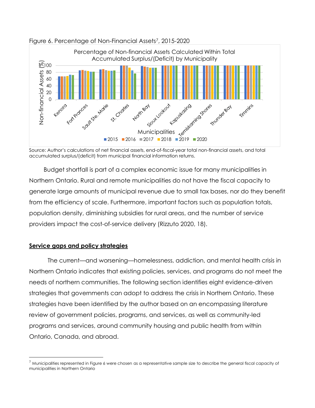

Figure 6. Percentage of Non-Financial Assets<sup>7</sup>, 2015-2020

Budget shortfall is part of a complex economic issue for many municipalities in Northern Ontario. Rural and remote municipalities do not have the fiscal capacity to generate large amounts of municipal revenue due to small tax bases, nor do they benefit from the efficiency of scale. Furthermore, important factors such as population totals, population density, diminishing subsidies for rural areas, and the number of service providers impact the cost-of-service delivery (Rizzuto 2020, 18).

# **Service gaps and policy strategies**

The current—and worsening—homelessness, addiction, and mental health crisis in Northern Ontario indicates that existing policies, services, and programs do not meet the needs of northern communities. The following section identifies eight evidence-driven strategies that governments can adopt to address the crisis in Northern Ontario. These strategies have been identified by the author based on an encompassing literature review of government policies, programs, and services, as well as community-led programs and services, around community housing and public health from within Ontario, Canada, and abroad.

Source: Author's calculations of net financial assets, end-of-fiscal-year total non-financial assets, and total accumulated surplus/(deficit) from municipal financial information returns.

 $^7$  Municipalities represented in Figure 6 were chosen as a representative sample size to describe the general fiscal capacity of municipalities in Northern Ontario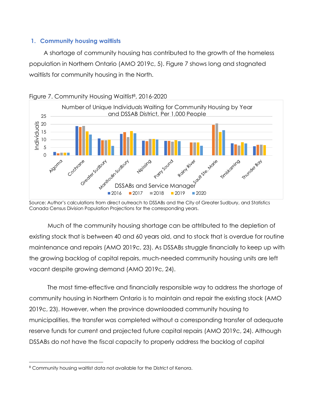## **1. Community housing waitlists**

A shortage of community housing has contributed to the growth of the homeless population in Northern Ontario (AMO 2019c, 5). Figure 7 shows long and stagnated waitlists for community housing in the North.



Figure 7. Community Housing Waitlist<sup>8</sup>, 2016-2020

Much of the community housing shortage can be attributed to the depletion of existing stock that is between 40 and 60 years old, and to stock that is overdue for routine maintenance and repairs (AMO 2019c, 23). As DSSABs struggle financially to keep up with the growing backlog of capital repairs, much-needed community housing units are left vacant despite growing demand (AMO 2019c, 24).

The most time-effective and financially responsible way to address the shortage of community housing in Northern Ontario is to maintain and repair the existing stock (AMO 2019c, 23). However, when the province downloaded community housing to municipalities, the transfer was completed without a corresponding transfer of adequate reserve funds for current and projected future capital repairs (AMO 2019c, 24). Although DSSABs do not have the fiscal capacity to properly address the backlog of capital

Source: Author's calculations from direct outreach to DSSABs and the City of Greater Sudbury, and Statistics Canada Census Division Population Projections for the corresponding years.

<sup>8</sup> Community housing waitlist data not available for the District of Kenora.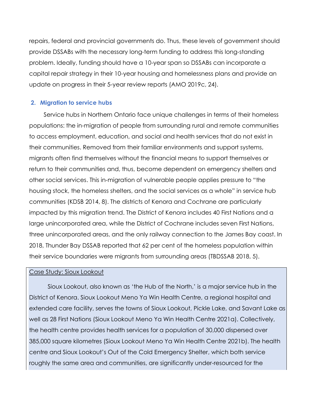repairs, federal and provincial governments do. Thus, these levels of government should provide DSSABs with the necessary long-term funding to address this long-standing problem. Ideally, funding should have a 10-year span so DSSABs can incorporate a capital repair strategy in their 10-year housing and homelessness plans and provide an update on progress in their 5-year review reports (AMO 2019c, 24).

## **2. Migration to service hubs**

Service hubs in Northern Ontario face unique challenges in terms of their homeless populations: the in-migration of people from surrounding rural and remote communities to access employment, education, and social and health services that do not exist in their communities. Removed from their familiar environments and support systems, migrants often find themselves without the financial means to support themselves or return to their communities and, thus, become dependent on emergency shelters and other social services. This in-migration of vulnerable people applies pressure to "the housing stock, the homeless shelters, and the social services as a whole" in service hub communities (KDSB 2014, 8). The districts of Kenora and Cochrane are particularly impacted by this migration trend. The District of Kenora includes 40 First Nations and a large unincorporated area, while the District of Cochrane includes seven First Nations, three unincorporated areas, and the only railway connection to the James Bay coast. In 2018, Thunder Bay DSSAB reported that 62 per cent of the homeless population within their service boundaries were migrants from surrounding areas (TBDSSAB 2018, 5).

## Case Study: Sioux Lookout

Sioux Lookout, also known as 'the Hub of the North,' is a major service hub in the District of Kenora. Sioux Lookout Meno Ya Win Health Centre, a regional hospital and extended care facility, serves the towns of Sioux Lookout, Pickle Lake, and Savant Lake as well as 28 First Nations (Sioux Lookout Meno Ya Win Health Centre 2021a). Collectively, the health centre provides health services for a population of 30,000 dispersed over 385,000 square kilometres (Sioux Lookout Meno Ya Win Health Centre 2021b). The health centre and Sioux Lookout's Out of the Cold Emergency Shelter, which both service roughly the same area and communities, are significantly under-resourced for the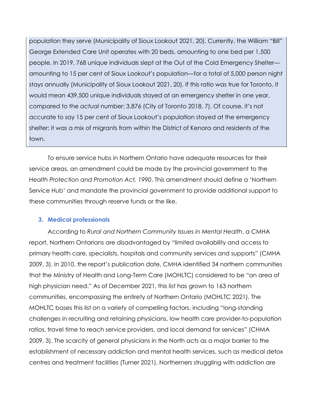population they serve (Municipality of Sioux Lookout 2021, 20). Currently, the William "Bill" George Extended Care Unit operates with 20 beds, amounting to one bed per 1,500 people. In 2019, 768 unique individuals slept at the Out of the Cold Emergency Shelter amounting to 15 per cent of Sioux Lookout's population—for a total of 5,000 person night stays annually (Municipality of Sioux Lookout 2021, 20). If this ratio was true for Toronto, it would mean 439,500 unique individuals stayed at an emergency shelter in one year, compared to the *actual* number: 3,876 (City of Toronto 2018, 7). Of course, it's not accurate to say 15 per cent of Sioux Lookout's population stayed at the emergency shelter; it was a mix of migrants from within the District of Kenora and residents of the town.

To ensure service hubs in Northern Ontario have adequate resources for their service areas, an amendment could be made by the provincial government to the *Health Protection and Promotion Act, 1990*. This amendment should define a 'Northern Service Hub' and mandate the provincial government to provide additional support to these communities through reserve funds or the like.

# **3. Medical professionals**

According to *Rural and Northern Community Issues in Mental Health*, a CMHA report, Northern Ontarians are disadvantaged by "limited availability and access to primary health care, specialists, hospitals and community services and supports" (CMHA 2009, 3). In 2010, the report's publication date, CMHA identified 34 northern communities that the Ministry of Health and Long-Term Care (MOHLTC) considered to be "an area of high physician need." As of December 2021, this list has grown to 163 northern communities, encompassing the entirety of Northern Ontario (MOHLTC 2021). The MOHLTC bases this list on a variety of compelling factors, including "long-standing challenges in recruiting and retaining physicians, low health care provider-to-population ratios, travel time to reach service providers, and local demand for services" (CHMA 2009, 3). The scarcity of general physicians in the North acts as a major barrier to the establishment of necessary addiction and mental health services, such as medical detox centres and treatment facilities (Turner 2021). Northerners struggling with addiction are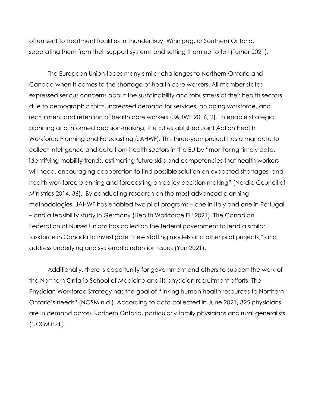often sent to treatment facilities in Thunder Bay, Winnipeg, or Southern Ontario, separating them from their support systems and setting them up to fail (Turner 2021).

The European Union faces many similar challenges to Northern Ontario and Canada when it comes to the shortage of health care workers. All member states expressed serious concerns about the sustainability and robustness of their health sectors due to demographic shifts, increased demand for services, an aging workforce, and recruitment and retention of health care workers (JAHWF 2016, 2). To enable strategic planning and informed decision-making, the EU established Joint Action Health Workforce Planning and Forecasting (JAHWF). This three-year project has a mandate to collect intelligence and data from health sectors in the EU by "monitoring timely data, identifying mobility trends, estimating future skills and competencies that health workers will need, encouraging cooperation to find possible solution on expected shortages, and health workforce planning and forecasting on policy decision making" (Nordic Council of Ministries 2014, 36). By conducting research on the most advanced planning methodologies, JAHWF has enabled two pilot programs – one in Italy and one in Portugal – and a feasibility study in Germany (Health Workforce EU 2021). The Canadian Federation of Nurses Unions has called on the federal government to lead a similar taskforce in Canada to investigate "new staffing models and other pilot projects," and address underlying and systematic retention issues (Yun 2021).

Additionally, there is opportunity for government and others to support the work of the Northern Ontario School of Medicine and its physician recruitment efforts. The Physician Workforce Strategy has the goal of "linking human health resources to Northern Ontario's needs" (NOSM n.d.). According to data collected in June 2021, 325 physicians are in demand across Northern Ontario, particularly family physicians and rural generalists (NOSM n.d.).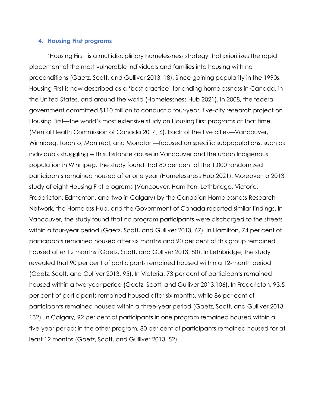## **4. Housing First programs**

'Housing First' is a multidisciplinary homelessness strategy that prioritizes the rapid placement of the most vulnerable individuals and families into housing with no preconditions (Gaetz, Scott, and Gulliver 2013, 18). Since gaining popularity in the 1990s, Housing First is now described as a 'best practice' for ending homelessness in Canada, in the United States, and around the world (Homelessness Hub 2021). In 2008, the federal government committed \$110 million to conduct a four-year, five-city research project on Housing First—the world's most extensive study on Housing First programs at that time (Mental Health Commission of Canada 2014, 6). Each of the five cities—Vancouver, Winnipeg, Toronto, Montreal, and Moncton—focused on specific subpopulations, such as individuals struggling with substance abuse in Vancouver and the urban Indigenous population in Winnipeg. The study found that 80 per cent of the 1,000 randomized participants remained housed after one year (Homelessness Hub 2021). Moreover, a 2013 study of eight Housing First programs (Vancouver, Hamilton, Lethbridge, Victoria, Fredericton, Edmonton, and two in Calgary) by the Canadian Homelessness Research Network, the Homeless Hub, and the Government of Canada reported similar findings. In Vancouver, the study found that no program participants were discharged to the streets within a four-year period (Gaetz, Scott, and Gulliver 2013, 67). In Hamilton, 74 per cent of participants remained housed after six months and 90 per cent of this group remained housed after 12 months (Gaetz, Scott, and Gulliver 2013, 80). In Lethbridge, the study revealed that 90 per cent of participants remained housed within a 12-month period (Gaetz, Scott, and Gulliver 2013, 95). In Victoria, 73 per cent of participants remained housed within a two-year period (Gaetz, Scott, and Gulliver 2013,106). In Fredericton, 93.5 per cent of participants remained housed after six months, while 86 per cent of participants remained housed within a three-year period (Gaetz, Scott, and Gulliver 2013, 132). In Calgary, 92 per cent of participants in one program remained housed within a five-year period; in the other program, 80 per cent of participants remained housed for at least 12 months (Gaetz, Scott, and Gulliver 2013, 52).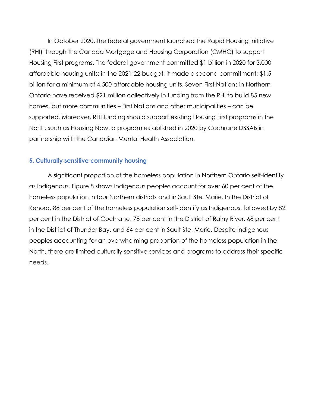In October 2020, the federal government launched the Rapid Housing Initiative (RHI) through the Canada Mortgage and Housing Corporation (CMHC) to support Housing First programs. The federal government committed \$1 billion in 2020 for 3,000 affordable housing units; in the 2021-22 budget, it made a second commitment: \$1.5 billion for a minimum of 4,500 affordable housing units. Seven First Nations in Northern Ontario have received \$21 million collectively in funding from the RHI to build 85 new homes, but more communities – First Nations and other municipalities – can be supported. Moreover, RHI funding should support existing Housing First programs in the North, such as Housing Now, a program established in 2020 by Cochrane DSSAB in partnership with the Canadian Mental Health Association.

## **5. Culturally sensitive community housing**

A significant proportion of the homeless population in Northern Ontario self-identify as Indigenous. Figure 8 shows Indigenous peoples account for over 60 per cent of the homeless population in four Northern districts and in Sault Ste. Marie. In the District of Kenora, 88 per cent of the homeless population self-identify as Indigenous, followed by 82 per cent in the District of Cochrane, 78 per cent in the District of Rainy River, 68 per cent in the District of Thunder Bay, and 64 per cent in Sault Ste. Marie. Despite Indigenous peoples accounting for an overwhelming proportion of the homeless population in the North, there are limited culturally sensitive services and programs to address their specific needs.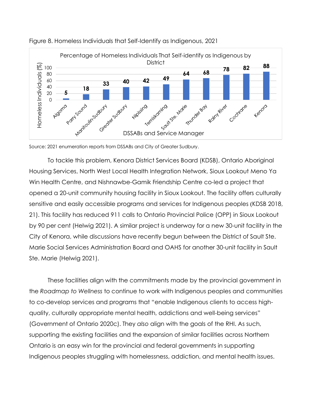



Source: 2021 enumeration reports from DSSABs and City of Greater Sudbury.

To tackle this problem, Kenora District Services Board (KDSB), Ontario Aboriginal Housing Services, North West Local Health Integration Network, Sioux Lookout Meno Ya Win Health Centre, and Nishnawbe-Gamik Friendship Centre co-led a project that opened a 20-unit community housing facility in Sioux Lookout. The facility offers culturally sensitive and easily accessible programs and services for Indigenous peoples (KDSB 2018, 21). This facility has reduced 911 calls to Ontario Provincial Police (OPP) in Sioux Lookout by 90 per cent (Helwig 2021). A similar project is underway for a new 30-unit facility in the City of Kenora, while discussions have recently begun between the District of Sault Ste. Marie Social Services Administration Board and OAHS for another 30-unit facility in Sault Ste. Marie (Helwig 2021).

These facilities align with the commitments made by the provincial government in the *Roadmap to Wellness* to continue to work with Indigenous peoples and communities to co-develop services and programs that "enable Indigenous clients to access highquality, culturally appropriate mental health, addictions and well-being services" (Government of Ontario 2020c). They *also* align with the goals of the RHI. As such, supporting the existing facilities and the expansion of similar facilities across Northern Ontario is an easy win for the provincial and federal governments in supporting Indigenous peoples struggling with homelessness, addiction, and mental health issues.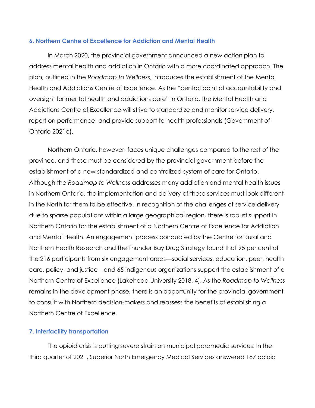## **6. Northern Centre of Excellence for Addiction and Mental Health**

In March 2020, the provincial government announced a new action plan to address mental health and addiction in Ontario with a more coordinated approach. The plan, outlined in the *Roadmap to Wellness*, introduces the establishment of the Mental Health and Addictions Centre of Excellence. As the "central point of accountability and oversight for mental health and addictions care" in Ontario, the Mental Health and Addictions Centre of Excellence will strive to standardize and monitor service delivery, report on performance, and provide support to health professionals (Government of Ontario 2021c).

Northern Ontario, however, faces unique challenges compared to the rest of the province, and these must be considered by the provincial government before the establishment of a new standardized and centralized system of care for Ontario. Although the *Roadmap to Wellness* addresses many addiction and mental health issues in Northern Ontario, the implementation and delivery of these services must look different in the North for them to be effective. In recognition of the challenges of service delivery due to sparse populations within a large geographical region, there is robust support in Northern Ontario for the establishment of a Northern Centre of Excellence for Addiction and Mental Health. An engagement process conducted by the Centre for Rural and Northern Health Research and the Thunder Bay Drug Strategy found that 95 per cent of the 216 participants from six engagement areas—social services, education, peer, health care, policy, and justice—and 65 Indigenous organizations support the establishment of a Northern Centre of Excellence (Lakehead University 2018, 4). As the *Roadmap to Wellness* remains in the development phase, there is an opportunity for the provincial government to consult with Northern decision-makers and reassess the benefits of establishing a Northern Centre of Excellence.

## **7. Interfacility transportation**

The opioid crisis is putting severe strain on municipal paramedic services. In the third quarter of 2021, Superior North Emergency Medical Services answered 187 opioid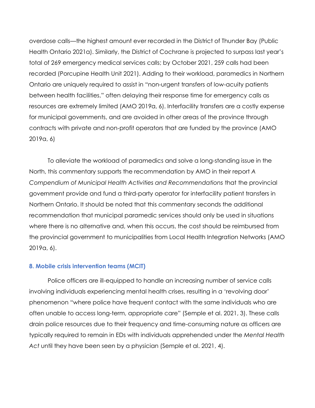overdose calls—the highest amount ever recorded in the District of Thunder Bay (Public Health Ontario 2021a). Similarly, the District of Cochrane is projected to surpass last year's total of 269 emergency medical services calls; by October 2021, 259 calls had been recorded (Porcupine Health Unit 2021). Adding to their workload, paramedics in Northern Ontario are uniquely required to assist in "non-urgent transfers of low-acuity patients between health facilities," often delaying their response time for emergency calls as resources are extremely limited (AMO 2019a, 6). Interfacility transfers are a costly expense for municipal governments, and are avoided in other areas of the province through contracts with private and non-profit operators that are funded by the province (AMO 2019a, 6)

To alleviate the workload of paramedics and solve a long-standing issue in the North, this commentary supports the recommendation by AMO in their report *A Compendium of Municipal Health Activities and Recommendations* that the provincial government provide and fund a third-party operator for interfacility patient transfers in Northern Ontario. It should be noted that this commentary seconds the additional recommendation that municipal paramedic services should only be used in situations where there is no alternative and, when this occurs, the cost should be reimbursed from the provincial government to municipalities from Local Health Integration Networks (AMO 2019a, 6).

## **8. Mobile crisis intervention teams (MCIT)**

Police officers are ill-equipped to handle an increasing number of service calls involving individuals experiencing mental health crises, resulting in a 'revolving door' phenomenon "where police have frequent contact with the same individuals who are often unable to access long-term, appropriate care" (Semple et al. 2021, 3). These calls drain police resources due to their frequency and time-consuming nature as officers are typically required to remain in EDs with individuals apprehended under the *Mental Health Act* until they have been seen by a physician (Semple et al. 2021, 4).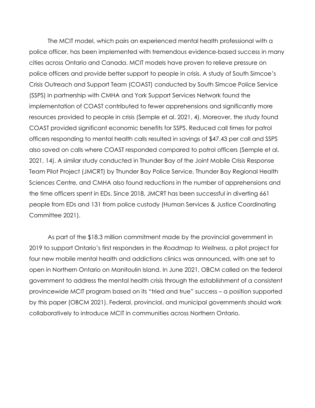The MCIT model, which pairs an experienced mental health professional with a police officer, has been implemented with tremendous evidence-based success in many cities across Ontario and Canada. MCIT models have proven to relieve pressure on police officers and provide better support to people in crisis. A study of South Simcoe's Crisis Outreach and Support Team (COAST) conducted by South Simcoe Police Service (SSPS) in partnership with CMHA and York Support Services Network found the implementation of COAST contributed to fewer apprehensions and significantly more resources provided to people in crisis (Semple et al. 2021, 4). Moreover, the study found COAST provided significant economic benefits for SSPS. Reduced call times for patrol officers responding to mental health calls resulted in savings of \$47.43 per call and SSPS also saved on calls where COAST responded compared to patrol officers (Semple et al. 2021, 14). A similar study conducted in Thunder Bay of the Joint Mobile Crisis Response Team Pilot Project (JMCRT) by Thunder Bay Police Service, Thunder Bay Regional Health Sciences Centre, and CMHA also found reductions in the number of apprehensions and the time officers spent in EDs. Since 2018, JMCRT has been successful in diverting 661 people from EDs and 131 from police custody (Human Services & Justice Coordinating Committee 2021).

As part of the \$18.3 million commitment made by the provincial government in 2019 to support Ontario's first responders in the *Roadmap to Wellness*, a pilot project for four new mobile mental health and addictions clinics was announced, with one set to open in Northern Ontario on Manitoulin Island. In June 2021, OBCM called on the federal government to address the mental health crisis through the establishment of a consistent provincewide MCIT program based on its "tried and true" success – a position supported by this paper (OBCM 2021). Federal, provincial, and municipal governments should work collaboratively to introduce MCIT in communities across Northern Ontario.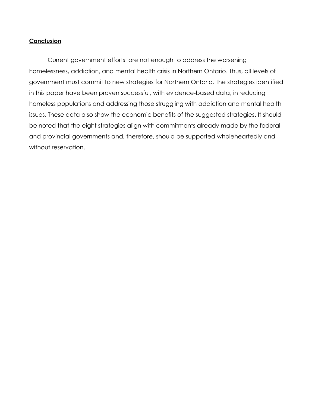## **Conclusion**

Current government efforts are not enough to address the worsening homelessness, addiction, and mental health crisis in Northern Ontario. Thus, all levels of government must commit to new strategies for Northern Ontario. The strategies identified in this paper have been proven successful, with evidence-based data, in reducing homeless populations and addressing those struggling with addiction and mental health issues. These data also show the economic benefits of the suggested strategies. It should be noted that the eight strategies align with commitments already made by the federal and provincial governments and, therefore, should be supported wholeheartedly and without reservation.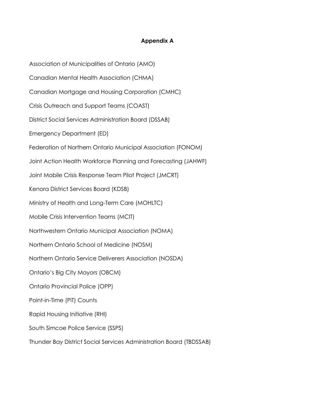## **Appendix A**

Association of Municipalities of Ontario (AMO) Canadian Mental Health Association (CHMA) Canadian Mortgage and Housing Corporation (CMHC) Crisis Outreach and Support Teams (COAST) District Social Services Administration Board (DSSAB) Emergency Department (ED) Federation of Northern Ontario Municipal Association (FONOM) Joint Action Health Workforce Planning and Forecasting (JAHWF) Joint Mobile Crisis Response Team Pilot Project (JMCRT) Kenora District Services Board (KDSB) Ministry of Health and Long-Term Care (MOHLTC) Mobile Crisis Intervention Teams (MCIT) Northwestern Ontario Municipal Association (NOMA) Northern Ontario School of Medicine (NOSM) Northern Ontario Service Deliverers Association (NOSDA) Ontario's Big City Mayors (OBCM) Ontario Provincial Police (OPP) Point-in-Time (PiT) Counts Rapid Housing Initiative (RHI) South Simcoe Police Service (SSPS) Thunder Bay District Social Services Administration Board (TBDSSAB)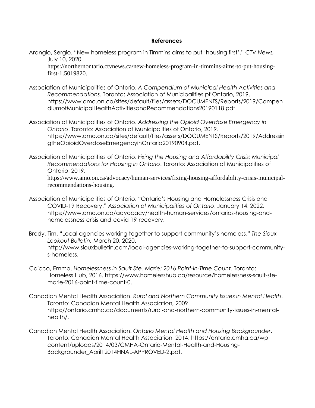#### **References**

Arangio, Sergio. "New homeless program in Timmins aims to put 'housing first'." *CTV News,*  July 10, 2020.

https://northernontario.ctvnews.ca/new-homeless-program-in-timmins-aims-to-put-housingfirst-1.5019820.

- Association of Municipalities of Ontario. *A Compendium of Municipal Health Activities and Recommendations*. Toronto: Association of Municipalities pf Ontario, 2019. [https://www.amo.on.ca/sites/default/files/assets/DOCUMENTS/Reports/2019/Compen](https://www.amo.on.ca/sites/default/files/assets/DOCUMENTS/Reports/2019/CompendiumofMunicipalHealthActivitiesandRecommendations20190118.pdf) [diumofMunicipalHealthActivitiesandRecommendations20190118.pdf.](https://www.amo.on.ca/sites/default/files/assets/DOCUMENTS/Reports/2019/CompendiumofMunicipalHealthActivitiesandRecommendations20190118.pdf)
- Association of Municipalities of Ontario. *Addressing the Opioid Overdose Emergency in Ontario*. Toronto: Association of Municipalities of Ontario, 2019. [https://www.amo.on.ca/sites/default/files/assets/DOCUMENTS/Reports/2019/Addressin](https://www.amo.on.ca/sites/default/files/assets/DOCUMENTS/Reports/2019/AddressingtheOpioidOverdoseEmergencyinOntario20190904.pdf) [gtheOpioidOverdoseEmergencyinOntario20190904.pdf.](https://www.amo.on.ca/sites/default/files/assets/DOCUMENTS/Reports/2019/AddressingtheOpioidOverdoseEmergencyinOntario20190904.pdf)
- Association of Municipalities of Ontario. *Fixing the Housing and Affordability Crisis: Municipal Recommendations for Housing in Ontario*. Toronto: Association of Municipalities of Ontario, 2019. https://www.amo.on.ca/advocacy/human-services/fixing-housing-affordability-crisis-municipalrecommendations-housing.
- Association of Municipalities of Ontario. "Ontario's Housing and Homelessness Crisis and COVID-19 Recovery." *Association of Municipalities of Ontario*, January 14, 2022. [https://www.amo.on.ca/advocacy/health-human-services/ontarios-housing-and](https://www.amo.on.ca/advocacy/health-human-services/ontarios-housing-and-homelessness-crisis-and-covid-19-recovery)[homelessness-crisis-and-covid-19-recovery.](https://www.amo.on.ca/advocacy/health-human-services/ontarios-housing-and-homelessness-crisis-and-covid-19-recovery)
- Brody, Tim. "Local agencies working together to support community's homeless." *The Sioux Lookout Bulletin,* March 20, 2020. [http://www.siouxbulletin.com/local-agencies-working-together-to-support-community](http://www.siouxbulletin.com/local-agencies-working-together-to-support-community-s-homeless)[s-homeless.](http://www.siouxbulletin.com/local-agencies-working-together-to-support-community-s-homeless)
- Caicco, Emma. *Homelessness in Sault Ste. Marie: 2016 Point-in-Time Count.* Toronto: Homeless Hub, 2016. [https://www.homelesshub.ca/resource/homelessness-sault-ste](https://www.homelesshub.ca/resource/homelessness-sault-ste-marie-2016-point-time-count-0)[marie-2016-point-time-count-0.](https://www.homelesshub.ca/resource/homelessness-sault-ste-marie-2016-point-time-count-0)
- Canadian Mental Health Association. *Rural and Northern Community Issues in Mental Health*. Toronto: Canadian Mental Health Association, 2009. [https://ontario.cmha.ca/documents/rural-and-northern-community-issues-in-mental](https://ontario.cmha.ca/documents/rural-and-northern-community-issues-in-mental-health/)[health/.](https://ontario.cmha.ca/documents/rural-and-northern-community-issues-in-mental-health/)
- Canadian Mental Health Association. *Ontario Mental Health and Housing Backgrounder*. Toronto: Canadian Mental Health Association, 2014. [https://ontario.cmha.ca/wp](https://ontario.cmha.ca/wp-content/uploads/2014/03/CMHA-Ontario-Mental-Health-and-Housing-Backgrounder_April12014FINAL-APPROVED-2.pdf)[content/uploads/2014/03/CMHA-Ontario-Mental-Health-and-Housing-](https://ontario.cmha.ca/wp-content/uploads/2014/03/CMHA-Ontario-Mental-Health-and-Housing-Backgrounder_April12014FINAL-APPROVED-2.pdf)[Backgrounder\\_April12014FINAL-APPROVED-2.pdf.](https://ontario.cmha.ca/wp-content/uploads/2014/03/CMHA-Ontario-Mental-Health-and-Housing-Backgrounder_April12014FINAL-APPROVED-2.pdf)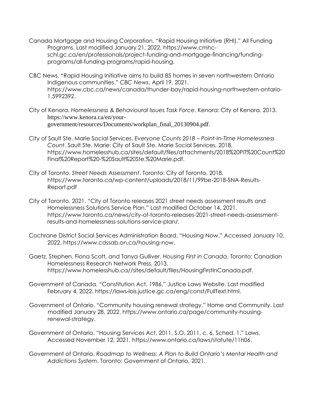- Canada Mortgage and Housing Corporation. "Rapid Housing Initiative (RHI)." All Funding Programs. Last modified January 21, 2022. [https://www.cmhc](https://www.cmhc-schl.gc.ca/en/professionals/project-funding-and-mortgage-financing/funding-programs/all-funding-programs/rapid-housing)[schl.gc.ca/en/professionals/project-funding-and-mortgage-financing/funding](https://www.cmhc-schl.gc.ca/en/professionals/project-funding-and-mortgage-financing/funding-programs/all-funding-programs/rapid-housing)[programs/all-funding-programs/rapid-housing.](https://www.cmhc-schl.gc.ca/en/professionals/project-funding-and-mortgage-financing/funding-programs/all-funding-programs/rapid-housing)
- CBC News. "Rapid Housing Initiative aims to build 85 homes in seven northwestern Ontario Indigenous communities." *CBC News*, April 19, 2021. [https://www.cbc.ca/news/canada/thunder-bay/rapid-housing-northwestern-ontario-](https://www.cbc.ca/news/canada/thunder-bay/rapid-housing-northwestern-ontario-1.5992392)[1.5992392.](https://www.cbc.ca/news/canada/thunder-bay/rapid-housing-northwestern-ontario-1.5992392)
- City of Kenora. *Homelessness & Behavioural Issues Task Force*. Kenora: City of Kenora, 2013. https://www.kenora.ca/en/yourgovernment/resources/Documents/workplan\_final\_20130904.pdf.
- City of Sault Ste. Marie Social Services. *Everyone Counts 2018 – Point-In-Time Homelessness Count*. Sault Ste. Marie: City of Sault Ste. Marie Social Services, 2018. [https://www.homelesshub.ca/sites/default/files/attachments/2018%20PiT%20Count%20](https://www.homelesshub.ca/sites/default/files/attachments/2018%20PiT%20Count%20Final%20Report%20-%20Sault%20Ste.%20Marie.pdf) [Final%20Report%20-%20Sault%20Ste.%20Marie.pdf.](https://www.homelesshub.ca/sites/default/files/attachments/2018%20PiT%20Count%20Final%20Report%20-%20Sault%20Ste.%20Marie.pdf)
- City of Toronto. *Street Needs Assessment*. Toronto: City of Toronto, 2018. https://www.toronto.ca/wp-content/uploads/2018/11/99be-2018-SNA-Results-Report.pdf
- City of Toronto. 2021. "City of Toronto releases 2021 street needs assessment results and Homelessness Solutions Service Plan." Last modified October 14, 2021. [https://www.toronto.ca/news/city-of-toronto-releases-2021-street-needs-assessment](https://www.toronto.ca/news/city-of-toronto-releases-2021-street-needs-assessment-results-and-homelessness-solutions-service-plan/)[results-and-homelessness-solutions-service-plan/.](https://www.toronto.ca/news/city-of-toronto-releases-2021-street-needs-assessment-results-and-homelessness-solutions-service-plan/)
- Cochrane District Social Services Administration Board. "Housing Now." Accessed January 10, 2022. [https://www.cdssab.on.ca/housing-now.](https://www.cdssab.on.ca/housing-now)
- Gaetz, Stephen, Fiona Scott, and Tanya Gulliver. *Housing First in Canada*. Toronto: Canadian Homelessness Research Network Press, 2013. [https://www.homelesshub.ca//sites/default/files/HousingFirstInCanada.pdf.](https://www.homelesshub.ca/sites/default/files/HousingFirstInCanada.pdf)
- Government of Canada. "Constitution Act, 1986." Justice Laws Website. Last modified February 4, 2022. https://laws-lois.justice.gc.ca/eng/const/FullText.html.
- Government of Ontario. "Community housing renewal strategy." Home and Community. Last modified January 28, 2022. [https://www.ontario.ca/page/community-housing](https://www.ontario.ca/page/community-housing-renewal-strategy)[renewal-strategy.](https://www.ontario.ca/page/community-housing-renewal-strategy)
- Government of Ontario. "Housing Services Act, 2011, S.O. 2011, c. 6, Sched. 1." Laws. Accessed November 12, 2021. [https://www.ontario.ca/laws/statute/11h06.](https://www.ontario.ca/laws/statute/11h06)
- Government of Ontario. *Roadmap to Wellness: A Plan to Build Ontario's Mental Health and Addictions System*. Toronto: Government of Ontario, 2021.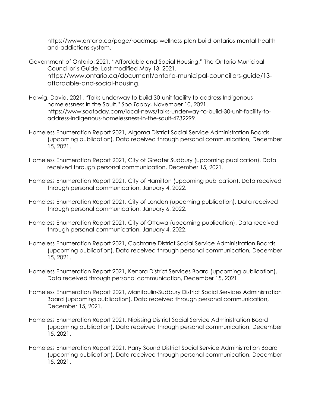[https://www.ontario.ca/page/roadmap-wellness-plan-build-ontarios-mental-health](https://www.ontario.ca/page/roadmap-wellness-plan-build-ontarios-mental-health-and-addictions-system)[and-addictions-system.](https://www.ontario.ca/page/roadmap-wellness-plan-build-ontarios-mental-health-and-addictions-system)

- Government of Ontario. 2021. "Affordable and Social Housing." The Ontario Municipal Councillor's Guide. Last modified May 13, 2021. https://www.ontario.ca/document/ontario-municipal-councillors-guide/13 affordable-and-social-housing.
- Helwig, David. 2021. "Talks underway to build 30-unit facility to address Indigenous homelessness in the Sault." *Soo Today*, November 10, 2021. [https://www.sootoday.com/local-news/talks-underway-to-build-30-unit-facility-to](https://www.sootoday.com/local-news/talks-underway-to-build-30-unit-facility-to-address-indigenous-homelessness-in-the-sault-4732299)[address-indigenous-homelessness-in-the-sault-4732299.](https://www.sootoday.com/local-news/talks-underway-to-build-30-unit-facility-to-address-indigenous-homelessness-in-the-sault-4732299)
- Homeless Enumeration Report 2021, Algoma District Social Service Administration Boards (upcoming publication). Data received through personal communication, December 15, 2021.
- Homeless Enumeration Report 2021, City of Greater Sudbury (upcoming publication). Data received through personal communication, December 15, 2021.
- Homeless Enumeration Report 2021, City of Hamilton (upcoming publication). Data received through personal communication, January 4, 2022.
- Homeless Enumeration Report 2021, City of London (upcoming publication). Data received through personal communication, January 6, 2022.
- Homeless Enumeration Report 2021, City of Ottawa (upcoming publication). Data received through personal communication, January 4, 2022.
- Homeless Enumeration Report 2021, Cochrane District Social Service Administration Boards (upcoming publication). Data received through personal communication, December 15, 2021.
- Homeless Enumeration Report 2021, Kenora District Services Board (upcoming publication). Data received through personal communication, December 15, 2021.
- Homeless Enumeration Report 2021, Manitoulin-Sudbury District Social Services Administration Board (upcoming publication). Data received through personal communication, December 15, 2021.
- Homeless Enumeration Report 2021, Nipissing District Social Service Administration Board (upcoming publication). Data received through personal communication, December 15, 2021.
- Homeless Enumeration Report 2021, Parry Sound District Social Service Administration Board (upcoming publication). Data received through personal communication, December 15, 2021.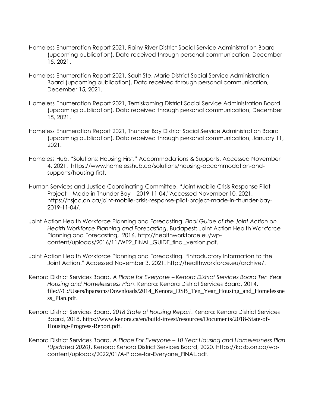- Homeless Enumeration Report 2021, Rainy River District Social Service Administration Board (upcoming publication). Data received through personal communication, December 15, 2021.
- Homeless Enumeration Report 2021, Sault Ste. Marie District Social Service Administration Board (upcoming publication). Data received through personal communication, December 15, 2021.
- Homeless Enumeration Report 2021, Temiskaming District Social Service Administration Board (upcoming publication). Data received through personal communication, December 15, 2021.
- Homeless Enumeration Report 2021, Thunder Bay District Social Service Administration Board (upcoming publication). Data received through personal communication, January 11, 2021.
- Homeless Hub. "Solutions: Housing First." [Accommodations & Supports. Accessed November](file:///C:/Users/hparsons/AppData/Local/Microsoft/Windows/INetCache/Content.Outlook/EYMB3UO7/Homeless%20Hub.%20“Solutions:%20Housing%20First.”%20Accommodations%20&%20Supports.%20Accessed%20November%204,%202021.%20%20https:/www.homelesshub.ca/solutions/housing-accommodation-and-supports/housing-first)  [4, 2021. https://www.homelesshub.ca/solutions/housing-accommodation-and](file:///C:/Users/hparsons/AppData/Local/Microsoft/Windows/INetCache/Content.Outlook/EYMB3UO7/Homeless%20Hub.%20“Solutions:%20Housing%20First.”%20Accommodations%20&%20Supports.%20Accessed%20November%204,%202021.%20%20https:/www.homelesshub.ca/solutions/housing-accommodation-and-supports/housing-first)[supports/housing-first.](file:///C:/Users/hparsons/AppData/Local/Microsoft/Windows/INetCache/Content.Outlook/EYMB3UO7/Homeless%20Hub.%20“Solutions:%20Housing%20First.”%20Accommodations%20&%20Supports.%20Accessed%20November%204,%202021.%20%20https:/www.homelesshub.ca/solutions/housing-accommodation-and-supports/housing-first)
- Human Services and Justice Coordinating Committee. "Joint Mobile Crisis Response Pilot Project – Made in Thunder Bay – 2019-11-04."Accessed November 10, 2021. [https://hsjcc.on.ca/joint-mobile-crisis-response-pilot-project-made-in-thunder-bay-](https://hsjcc.on.ca/joint-mobile-crisis-response-pilot-project-made-in-thunder-bay-2019-11-04/)[2019-11-04/.](https://hsjcc.on.ca/joint-mobile-crisis-response-pilot-project-made-in-thunder-bay-2019-11-04/)
- Joint Action Health Workforce Planning and Forecasting. *Final Guide of the Joint Action on Health Workforce Planning and Forecasting*. Budapest: Joint Action Health Workforce Planning and Forecasting, 2016. [http://healthworkforce.eu/wp](http://healthworkforce.eu/wp-content/uploads/2016/11/WP2_FINAL_GUIDE_final_version.pdf)[content/uploads/2016/11/WP2\\_FINAL\\_GUIDE\\_final\\_version.pdf.](http://healthworkforce.eu/wp-content/uploads/2016/11/WP2_FINAL_GUIDE_final_version.pdf)
- Joint Action Health Workforce Planning and Forecasting. "Introductory Information to the Joint Action." Accessed November 3, 2021. http://healthworkforce.eu/archive/.
- Kenora District Services Board. *A Place for Everyone – Kenora District Services Board Ten Year Housing and Homelessness Plan*. Kenora: Kenora District Services Board, 2014. file:///C:/Users/hparsons/Downloads/2014\_Kenora\_DSB\_Ten\_Year\_Housing\_and\_Homelessne ss\_Plan.pdf.
- Kenora District Services Board. *2018 State of Housing Report*. Kenora: Kenora District Services Board, 2018. https://www.kenora.ca/en/build-invest/resources/Documents/2018-State-of-Housing-Progress-Report.pdf.
- Kenora District Services Board. *A Place For Everyone – 10 Year Housing and Homelessness Plan (Updated 2020)*. Kenora: Kenora District Services Board, 2020. https://kdsb.on.ca/wpcontent/uploads/2022/01/A-Place-for-Everyone\_FINAL.pdf.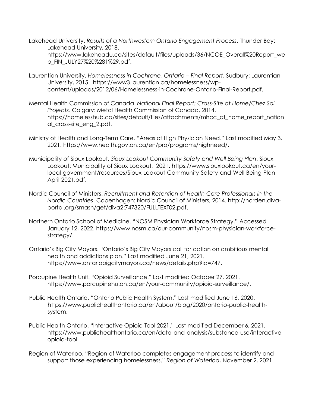Lakehead University. *Results of a Northwestern Ontario Engagement Process*. Thunder Bay: Lakehead University, 2018.

[https://www.lakeheadu.ca/sites/default/files/uploads/36/NCOE\\_Overall%20Report\\_we](https://www.lakeheadu.ca/sites/default/files/uploads/36/NCOE_Overall%20Report_web_FIN_JULY27%20%281%29.pdf) [b\\_FIN\\_JULY27%20%281%29.pdf.](https://www.lakeheadu.ca/sites/default/files/uploads/36/NCOE_Overall%20Report_web_FIN_JULY27%20%281%29.pdf)

- Laurentian University. *Homelessness in Cochrane, Ontario – Final Report*. Sudbury: Laurentian University, 2015. [https://www3.laurentian.ca/homelessness/wp](https://www3.laurentian.ca/homelessness/wp-content/uploads/2012/06/Homelessness-in-Cochrane-Ontario-Final-Report.pdf)[content/uploads/2012/06/Homelessness-in-Cochrane-Ontario-Final-Report.pdf.](https://www3.laurentian.ca/homelessness/wp-content/uploads/2012/06/Homelessness-in-Cochrane-Ontario-Final-Report.pdf)
- Mental Health Commission of Canada. *National Final Report: Cross-Site at Home/Chez Soi Projects*. Calgary: Metal Health Commission of Canada, 2014. [https://homelesshub.ca/sites/default/files/attachments/mhcc\\_at\\_home\\_report\\_nation](https://homelesshub.ca/sites/default/files/attachments/mhcc_at_home_report_national_cross-site_eng_2.pdf) [al\\_cross-site\\_eng\\_2.pdf.](https://homelesshub.ca/sites/default/files/attachments/mhcc_at_home_report_national_cross-site_eng_2.pdf)
- Ministry of Health and Long-Term Care. "Areas of High Physician Need." Last modified May 3, 2021. [https://www.health.gov.on.ca/en/pro/programs/highneed/.](https://www.health.gov.on.ca/en/pro/programs/highneed/)
- Municipality of Sioux Lookout. *Sioux Lookout Community Safety and Well Being Plan*. Sioux Lookout: Municipality of Sioux Lookout, 2021. [https://www.siouxlookout.ca/en/your](https://www.siouxlookout.ca/en/your-local-government/resources/Sioux-Lookout-Community-Safety-and-Well-Being-Plan-April-2021.pdf)[local-government/resources/Sioux-Lookout-Community-Safety-and-Well-Being-Plan-](https://www.siouxlookout.ca/en/your-local-government/resources/Sioux-Lookout-Community-Safety-and-Well-Being-Plan-April-2021.pdf)[April-2021.pdf.](https://www.siouxlookout.ca/en/your-local-government/resources/Sioux-Lookout-Community-Safety-and-Well-Being-Plan-April-2021.pdf)
- Nordic Council of Ministers. *Recruitment and Retention of Health Care Professionals in the Nordic Countries*. Copenhagen: Nordic Council of Ministers, 2014. [http://norden.diva](http://norden.diva-portal.org/smash/get/diva2:747320/FULLTEXT02.pdf)[portal.org/smash/get/diva2:747320/FULLTEXT02.pdf.](http://norden.diva-portal.org/smash/get/diva2:747320/FULLTEXT02.pdf)
- Northern Ontario School of Medicine. "NOSM Physician Workforce Strategy." Accessed January 12, 2022. https://www.nosm.ca/our-community/nosm-physician-workforcestrategy/.
- Ontario's Big City Mayors. "Ontario's Big City Mayors call for action on ambitious mental health and addictions plan." Last modified June 21, 2021. [https://www.ontariobigcitymayors.ca/news/details.php?id=747.](https://www.ontariobigcitymayors.ca/news/details.php?id=747)
- Porcupine Health Unit. "Opioid Surveillance." Last modified October 27, 2021. [https://www.porcupinehu.on.ca/en/your-community/opioid-surveillance/.](https://www.porcupinehu.on.ca/en/your-community/opioid-surveillance/)
- Public Health Ontario. "Ontario Public Health System." Last modified June 16, 2020. https://www.publichealthontario.ca/en/about/blog/2020/ontario-public-healthsystem.
- Public Health Ontario. "Interactive Opioid Tool 2021." Last modified December 6, 2021. [https://www.publichealthontario.ca/en/data-and-analysis/substance-use/interactive](https://www.publichealthontario.ca/en/data-and-analysis/substance-use/interactive-opioid-tool)[opioid-tool.](https://www.publichealthontario.ca/en/data-and-analysis/substance-use/interactive-opioid-tool)
- Region of Waterloo. "Region of Waterloo completes engagement process to identify and support those experiencing homelessness." *Region of Waterloo*, November 2, 2021.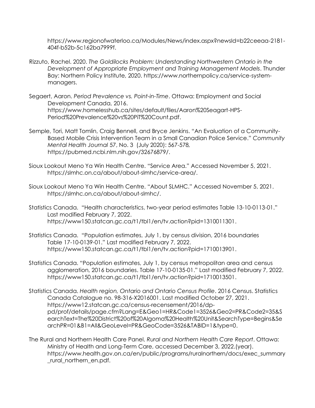[https://www.regionofwaterloo.ca/Modules/News/index.aspx?newsId=b22ceeaa-2181-](https://www.regionofwaterloo.ca/Modules/News/index.aspx?newsId=b22ceeaa-2181-404f-b52b-5c162ba7999f) [404f-b52b-5c162ba7999f.](https://www.regionofwaterloo.ca/Modules/News/index.aspx?newsId=b22ceeaa-2181-404f-b52b-5c162ba7999f)

- Rizzuto, Rachel. 2020. *The Goldilocks Problem: Understanding Northwestern Ontario in the Development of Appropriate Employment and Training Management Models*. Thunder Bay: Northern Policy Institute, 2020. https://www.northernpolicy.ca/service-systemmanagers.
- Segaert, Aaron. *Period Prevalence vs. Point-in-Time*. Ottawa: Employment and Social Development Canada, 2016. https://www.homelesshub.ca/sites/default/files/Aaron%20Seagart-HPS-Period%20Prevalence%20vs%20PiT%20Count.pdf.
- Semple, Tori, Matt Tomlin, Craig Bennell, and Bryce Jenkins. "An Evaluation of a Community-Based Mobile Crisis Intervention Team in a Small Canadian Police Service." *Community Mental Health Journal* 57, No. 3 (July 2020): 567-578*,*  [https://pubmed.ncbi.nlm.nih.gov/32676879/.](https://pubmed.ncbi.nlm.nih.gov/32676879/)
- Sioux Lookout Meno Ya Win Health Centre. "Service Area." Accessed November 5, 2021. [https://slmhc.on.ca/about/about-slmhc/service-area/.](https://slmhc.on.ca/about/about-slmhc/service-area/)
- Sioux Lookout Meno Ya Win Health Centre. "About SLMHC." Accessed November 5, 2021. [https://slmhc.on.ca/about/about-slmhc/.](https://slmhc.on.ca/about/about-slmhc/)
- Statistics Canada. ["Health characteristics, two](https://www150.statcan.gc.ca/t1/tbl1/en/tv.action?pid=1310011301)-year period estimates Table 13-10-0113-01." Last modified February 7, 2022. [https://www150.statcan.gc.ca/t1/tbl1/en/tv.action?pid=1310011301.](https://www150.statcan.gc.ca/t1/tbl1/en/tv.action?pid=1310011301)
- Statistics Canada. "[Population estimates, July 1, by census division, 2016 boundaries](https://www150.statcan.gc.ca/t1/tbl1/en/tv.action?pid=1710013901)  Table 17-10-0139-01." Last modified February 7, 2022. https://www150.statcan.gc.ca/t1/tbl1/en/tv.action?pid=1710013901.
- Statistics Canada. "[Population estimates, July 1, by census metropolitan area and census](https://www150.statcan.gc.ca/t1/tbl1/en/tv.action?pid=1710013501)  [agglomeration, 2016 boundaries.](https://www150.statcan.gc.ca/t1/tbl1/en/tv.action?pid=1710013501) Table 17-10-0135-01." Last modified February 7, 2022. https://www150.statcan.gc.ca/t1/tbl1/en/tv.action?pid=1710013501.
- Statistics Canada. *Health region, Ontario and Ontario Census Profile*. 2016 Census. Statistics Canada Catalogue no. 98-316-X2016001. Last modified October 27, 2021. https://www12.statcan.gc.ca/census-recensement/2016/dppd/prof/details/page.cfm?Lang=E&Geo1=HR&Code1=3526&Geo2=PR&Code2=35&S earchText=The%20District%20of%20Algoma%20Health%20Unit&SearchType=Begins&Se archPR=01&B1=All&GeoLevel=PR&GeoCode=3526&TABID=1&type=0.
- The Rural and Northern Health Care Panel. *Rural and Northern Health Care Report*. Ottawa: Ministry of Health and Long-Term Care, accessed December 3, 2022.(year). [https://www.health.gov.on.ca/en/public/programs/ruralnorthern/docs/exec\\_summary](https://www.health.gov.on.ca/en/public/programs/ruralnorthern/docs/exec_summary_rural_northern_en.pdf) rural northern en.pdf.